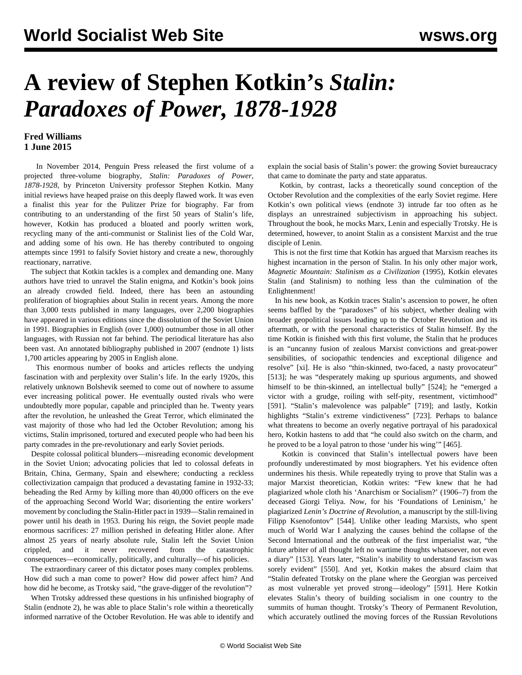# **A review of Stephen Kotkin's** *Stalin: Paradoxes of Power, 1878-1928*

### **Fred Williams 1 June 2015**

 In November 2014, Penguin Press released the first volume of a projected three-volume biography, *Stalin: Paradoxes of Power, 1878-1928*, by Princeton University professor Stephen Kotkin. Many initial reviews have heaped praise on this deeply flawed work. It was even a finalist this year for the Pulitzer Prize for biography. Far from contributing to an understanding of the first 50 years of Stalin's life, however, Kotkin has produced a bloated and poorly written work, recycling many of the anti-communist or Stalinist lies of the Cold War, and adding some of his own. He has thereby contributed to ongoing attempts since 1991 to falsify Soviet history and create a new, thoroughly reactionary, narrative.

 The subject that Kotkin tackles is a complex and demanding one. Many authors have tried to unravel the Stalin enigma, and Kotkin's book joins an already crowded field. Indeed, there has been an astounding proliferation of biographies about Stalin in recent years. Among the more than 3,000 texts published in many languages, over 2,200 biographies have appeared in various editions since the dissolution of the Soviet Union in 1991. Biographies in English (over 1,000) outnumber those in all other languages, with Russian not far behind. The periodical literature has also been vast. An annotated bibliography published in 2007 (endnote 1) lists 1,700 articles appearing by 2005 in English alone.

 This enormous number of books and articles reflects the undying fascination with and perplexity over Stalin's life. In the early 1920s, this relatively unknown Bolshevik seemed to come out of nowhere to assume ever increasing political power. He eventually ousted rivals who were undoubtedly more popular, capable and principled than he. Twenty years after the revolution, he unleashed the Great Terror, which eliminated the vast majority of those who had led the October Revolution; among his victims, Stalin imprisoned, tortured and executed people who had been his party comrades in the pre-revolutionary and early Soviet periods.

 Despite colossal political blunders—misreading economic development in the Soviet Union; advocating policies that led to colossal defeats in Britain, China, Germany, Spain and elsewhere; conducting a reckless collectivization campaign that produced a devastating famine in 1932-33; beheading the Red Army by killing more than 40,000 officers on the eve of the approaching Second World War; disorienting the entire workers' movement by concluding the Stalin-Hitler pact in 1939—Stalin remained in power until his death in 1953. During his reign, the Soviet people made enormous sacrifices: 27 million perished in defeating Hitler alone. After almost 25 years of nearly absolute rule, Stalin left the Soviet Union crippled, and it never recovered from the catastrophic consequences—economically, politically, and culturally—of his policies.

 The extraordinary career of this dictator poses many complex problems. How did such a man come to power? How did power affect him? And how did he become, as Trotsky said, "the grave-digger of the revolution"?

 When Trotsky addressed these questions in his unfinished biography of Stalin (endnote 2), he was able to place Stalin's role within a theoretically informed narrative of the October Revolution. He was able to identify and explain the social basis of Stalin's power: the growing Soviet bureaucracy that came to dominate the party and state apparatus.

 Kotkin, by contrast, lacks a theoretically sound conception of the October Revolution and the complexities of the early Soviet regime. Here Kotkin's own political views (endnote 3) intrude far too often as he displays an unrestrained subjectivism in approaching his subject. Throughout the book, he mocks Marx, Lenin and especially Trotsky. He is determined, however, to anoint Stalin as a consistent Marxist and the true disciple of Lenin.

 This is not the first time that Kotkin has argued that Marxism reaches its highest incarnation in the person of Stalin. In his only other major work, *Magnetic Mountain: Stalinism as a Civilization* (1995), Kotkin elevates Stalin (and Stalinism) to nothing less than the culmination of the Enlightenment!

 In his new book, as Kotkin traces Stalin's ascension to power, he often seems baffled by the "paradoxes" of his subject, whether dealing with broader geopolitical issues leading up to the October Revolution and its aftermath, or with the personal characteristics of Stalin himself. By the time Kotkin is finished with this first volume, the Stalin that he produces is an "uncanny fusion of zealous Marxist convictions and great-power sensibilities, of sociopathic tendencies and exceptional diligence and resolve" [xi]. He is also "thin-skinned, two-faced, a nasty provocateur" [513]; he was "desperately making up spurious arguments, and showed himself to be thin-skinned, an intellectual bully" [524]; he "emerged a victor with a grudge, roiling with self-pity, resentment, victimhood" [591]. "Stalin's malevolence was palpable" [719]; and lastly, Kotkin highlights "Stalin's extreme vindictiveness" [723]. Perhaps to balance what threatens to become an overly negative portrayal of his paradoxical hero, Kotkin hastens to add that "he could also switch on the charm, and he proved to be a loyal patron to those 'under his wing'" [465].

 Kotkin is convinced that Stalin's intellectual powers have been profoundly underestimated by most biographers. Yet his evidence often undermines his thesis. While repeatedly trying to prove that Stalin was a major Marxist theoretician, Kotkin writes: "Few knew that he had plagiarized whole cloth his 'Anarchism or Socialism?' (1906–7) from the deceased Giorgi Teliya. Now, for his 'Foundations of Leninism,' he plagiarized *Lenin's Doctrine of Revolution*, a manuscript by the still-living Filipp Ksenofontov" [544]. Unlike other leading Marxists, who spent much of World War I analyzing the causes behind the collapse of the Second International and the outbreak of the first imperialist war, "the future arbiter of all thought left no wartime thoughts whatsoever, not even a diary" [153]. Years later, "Stalin's inability to understand fascism was sorely evident" [550]. And yet, Kotkin makes the absurd claim that "Stalin defeated Trotsky on the plane where the Georgian was perceived as most vulnerable yet proved strong—ideology" [591]. Here Kotkin elevates Stalin's theory of building socialism in one country to the summits of human thought. Trotsky's Theory of Permanent Revolution, which accurately outlined the moving forces of the Russian Revolutions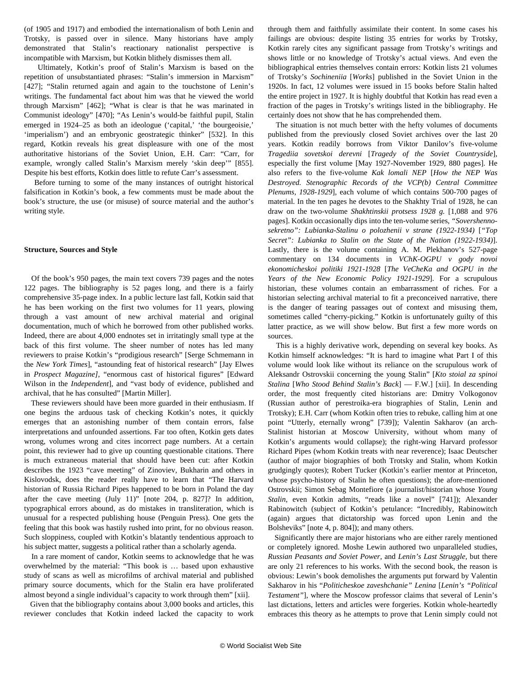(of 1905 and 1917) and embodied the internationalism of both Lenin and Trotsky, is passed over in silence. Many historians have amply demonstrated that Stalin's reactionary nationalist perspective is incompatible with Marxism, but Kotkin blithely dismisses them all.

 Ultimately, Kotkin's proof of Stalin's Marxism is based on the repetition of unsubstantiated phrases: "Stalin's immersion in Marxism" [427]; "Stalin returned again and again to the touchstone of Lenin's writings. The fundamental fact about him was that he viewed the world through Marxism" [462]; "What is clear is that he was marinated in Communist ideology" [470]; "As Lenin's would-be faithful pupil, Stalin emerged in 1924–25 as both an ideologue ('capital,' 'the bourgeoisie,' 'imperialism') and an embryonic geostrategic thinker" [532]. In this regard, Kotkin reveals his great displeasure with one of the most authoritative historians of the Soviet Union, E.H. Carr: "Carr, for example, wrongly called Stalin's Marxism merely 'skin deep'" [855]. Despite his best efforts, Kotkin does little to refute Carr's assessment.

 Before turning to some of the many instances of outright historical falsification in Kotkin's book, a few comments must be made about the book's structure, the use (or misuse) of source material and the author's writing style.

#### **Structure, Sources and Style**

 Of the book's 950 pages, the main text covers 739 pages and the notes 122 pages. The bibliography is 52 pages long, and there is a fairly comprehensive 35-page index. In a public lecture last fall, Kotkin said that he has been working on the first two volumes for 11 years, plowing through a vast amount of new archival material and original documentation, much of which he borrowed from other published works. Indeed, there are about 4,000 endnotes set in irritatingly small type at the back of this first volume. The sheer number of notes has led many reviewers to praise Kotkin's "prodigious research" [Serge Schmemann in the *New York Times*], "astounding feat of historical research" [Jay Elwes in *Prospect Magazine]*, "enormous cast of historical figures" [Edward Wilson in the *Independent*], and "vast body of evidence, published and archival, that he has consulted" [Martin Miller].

 These reviewers should have been more guarded in their enthusiasm. If one begins the arduous task of checking Kotkin's notes, it quickly emerges that an astonishing number of them contain errors, false interpretations and unfounded assertions. Far too often, Kotkin gets dates wrong, volumes wrong and cites incorrect page numbers. At a certain point, this reviewer had to give up counting questionable citations. There is much extraneous material that should have been cut: after Kotkin describes the 1923 "cave meeting" of Zinoviev, Bukharin and others in Kislovodsk, does the reader really have to learn that "The Harvard historian of Russia Richard Pipes happened to be born in Poland the day after the cave meeting (July 11)" [note 204, p. 827]? In addition, typographical errors abound, as do mistakes in transliteration, which is unusual for a respected publishing house (Penguin Press). One gets the feeling that this book was hastily rushed into print, for no obvious reason. Such sloppiness, coupled with Kotkin's blatantly tendentious approach to his subject matter, suggests a political rather than a scholarly agenda.

 In a rare moment of candor, Kotkin seems to acknowledge that he was overwhelmed by the material: "This book is … based upon exhaustive study of scans as well as microfilms of archival material and published primary source documents, which for the Stalin era have proliferated almost beyond a single individual's capacity to work through them" [xii].

 Given that the bibliography contains about 3,000 books and articles, this reviewer concludes that Kotkin indeed lacked the capacity to work through them and faithfully assimilate their content. In some cases his failings are obvious: despite listing 35 entries for works by Trotsky, Kotkin rarely cites any significant passage from Trotsky's writings and shows little or no knowledge of Trotsky's actual views. And even the bibliographical entries themselves contain errors: Kotkin lists 21 volumes of Trotsky's *Sochineniia* [*Works*] published in the Soviet Union in the 1920s. In fact, 12 volumes were issued in 15 books before Stalin halted the entire project in 1927. It is highly doubtful that Kotkin has read even a fraction of the pages in Trotsky's writings listed in the bibliography. He certainly does not show that he has comprehended them.

 The situation is not much better with the hefty volumes of documents published from the previously closed Soviet archives over the last 20 years. Kotkin readily borrows from Viktor Danilov's five-volume *Tragediia sovetskoi derevni* [*Tragedy of the Soviet Countryside*], especially the first volume [May 1927-November 1929, 880 pages]. He also refers to the five-volume *Kak lomali NEP* [*How the NEP Was Destroyed. Stenographic Records of the VCP(b) Central Committee Plenums, 1928-1929*], each volume of which contains 500-700 pages of material. In the ten pages he devotes to the Shakhty Trial of 1928, he can draw on the two-volume *Shakhtinskii protsess 1928 g.* [1,088 and 976 pages]. Kotkin occasionally dips into the ten-volume series, *"Sovershennosekretno": Lubianka-Stalinu o polozhenii v strane (1922-1934)* [*"Top Secret": Lubianka to Stalin on the State of the Nation (1922-1934)*]. Lastly, there is the volume containing A. M. Plekhanov's 527-page commentary on 134 documents in *VChK-OGPU v gody novoi ekonomicheskoi politiki 1921-1928* [*The VeCheKa and OGPU in the Years of the New Economic Policy 1921-1929*]. For a scrupulous historian, these volumes contain an embarrassment of riches. For a historian selecting archival material to fit a preconceived narrative, there is the danger of tearing passages out of context and misusing them, sometimes called "cherry-picking." Kotkin is unfortunately guilty of this latter practice, as we will show below. But first a few more words on sources.

 This is a highly derivative work, depending on several key books. As Kotkin himself acknowledges: "It is hard to imagine what Part I of this volume would look like without its reliance on the scrupulous work of Aleksandr Ostrovskii concerning the young Stalin" [*Kto stoial za spinoi Stalina* [*Who Stood Behind Stalin's Back*] — F.W.] [xii]. In descending order, the most frequently cited historians are: Dmitry Volkogonov (Russian author of perestroika-era biographies of Stalin, Lenin and Trotsky); E.H. Carr (whom Kotkin often tries to rebuke, calling him at one point "Utterly, eternally wrong" [739]); Valentin Sakharov (an arch-Stalinist historian at Moscow University, without whom many of Kotkin's arguments would collapse); the right-wing Harvard professor Richard Pipes (whom Kotkin treats with near reverence); Isaac Deutscher (author of major biographies of both Trotsky and Stalin, whom Kotkin grudgingly quotes); Robert Tucker (Kotkin's earlier mentor at Princeton, whose psycho-history of Stalin he often questions); the afore-mentioned Ostrovskii; Simon Sebag Montefiore (a journalist/historian whose *Young Stalin*, even Kotkin admits, "reads like a novel" [741]); Alexander Rabinowitch (subject of Kotkin's petulance: "Incredibly, Rabinowitch (again) argues that dictatorship was forced upon Lenin and the Bolsheviks" [note 4, p. 804]); and many others.

 Significantly there are major historians who are either rarely mentioned or completely ignored. Moshe Lewin authored two unparalleled studies, *Russian Peasants and Soviet Power*, and *Lenin's Last Struggle,* but there are only 21 references to his works. With the second book, the reason is obvious: Lewin's book demolishes the arguments put forward by Valentin Sakharov in his "*Politicheskoe zaveshchanie" Lenina* [*Lenin's "Political Testament"*], where the Moscow professor claims that several of Lenin's last dictations, letters and articles were forgeries. Kotkin whole-heartedly embraces this theory as he attempts to prove that Lenin simply could not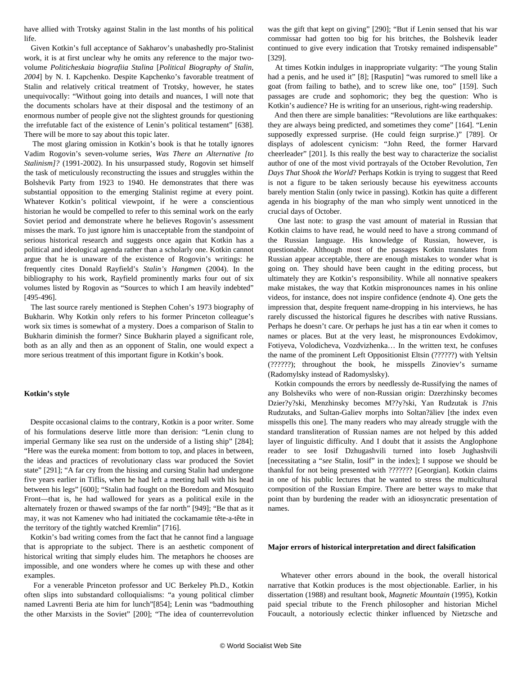have allied with Trotsky against Stalin in the last months of his political life.

 Given Kotkin's full acceptance of Sakharov's unabashedly pro-Stalinist work, it is at first unclear why he omits any reference to the major twovolume *Politicheskaia biografiia Stalina* [*Political Biography of Stalin, 2004*] by N. I. Kapchenko. Despite Kapchenko's favorable treatment of Stalin and relatively critical treatment of Trotsky, however, he states unequivocally: "Without going into details and nuances, I will note that the documents scholars have at their disposal and the testimony of an enormous number of people give not the slightest grounds for questioning the irrefutable fact of the existence of Lenin's political testament" [638]. There will be more to say about this topic later.

 The most glaring omission in Kotkin's book is that he totally ignores Vadim Rogovin's seven-volume series, *Was There an Alternative [to Stalinism]?* (1991-2002). In his unsurpassed study, Rogovin set himself the task of meticulously reconstructing the issues and struggles within the Bolshevik Party from 1923 to 1940. He demonstrates that there was substantial opposition to the emerging Stalinist regime at every point. Whatever Kotkin's political viewpoint, if he were a conscientious historian he would be compelled to refer to this seminal work on the early Soviet period and demonstrate where he believes Rogovin's assessment misses the mark. To just ignore him is unacceptable from the standpoint of serious historical research and suggests once again that Kotkin has a political and ideological agenda rather than a scholarly one. Kotkin cannot argue that he is unaware of the existence of Rogovin's writings: he frequently cites Donald Rayfield's *Stalin's Hangmen* (2004). In the bibliography to his work, Rayfield prominently marks four out of six volumes listed by Rogovin as "Sources to which I am heavily indebted" [495-496].

 The last source rarely mentioned is Stephen Cohen's 1973 biography of Bukharin. Why Kotkin only refers to his former Princeton colleague's work six times is somewhat of a mystery. Does a comparison of Stalin to Bukharin diminish the former? Since Bukharin played a significant role, both as an ally and then as an opponent of Stalin, one would expect a more serious treatment of this important figure in Kotkin's book.

#### **Kotkin's style**

 Despite occasional claims to the contrary, Kotkin is a poor writer. Some of his formulations deserve little more than derision: "Lenin clung to imperial Germany like sea rust on the underside of a listing ship" [284]; "Here was the eureka moment: from bottom to top, and places in between, the ideas and practices of revolutionary class war produced the Soviet state" [291]; "A far cry from the hissing and cursing Stalin had undergone five years earlier in Tiflis, when he had left a meeting hall with his head between his legs" [600]; "Stalin had fought on the Boredom and Mosquito Front—that is, he had wallowed for years as a political exile in the alternately frozen or thawed swamps of the far north" [949]; "Be that as it may, it was not Kamenev who had initiated the cockamamie tête-a-tête in the territory of the tightly watched Kremlin" [716].

 Kotkin's bad writing comes from the fact that he cannot find a language that is appropriate to the subject. There is an aesthetic component of historical writing that simply eludes him. The metaphors he chooses are impossible, and one wonders where he comes up with these and other examples.

 For a venerable Princeton professor and UC Berkeley Ph.D., Kotkin often slips into substandard colloquialisms: "a young political climber named Lavrenti Beria ate him for lunch"[854]; Lenin was "badmouthing the other Marxists in the Soviet" [200]; "The idea of counterrevolution

was the gift that kept on giving" [290]; "But if Lenin sensed that his war commissar had gotten too big for his britches, the Bolshevik leader continued to give every indication that Trotsky remained indispensable" [329].

 At times Kotkin indulges in inappropriate vulgarity: "The young Stalin had a penis, and he used it" [8]; [Rasputin] "was rumored to smell like a goat (from failing to bathe), and to screw like one, too" [159]. Such passages are crude and sophomoric; they beg the question: Who is Kotkin's audience? He is writing for an unserious, right-wing readership.

 And then there are simple banalities: "Revolutions are like earthquakes: they are always being predicted, and sometimes they come" [164]. "Lenin supposedly expressed surprise. (He could feign surprise.)" [789]. Or displays of adolescent cynicism: "John Reed, the former Harvard cheerleader" [201]. Is this really the best way to characterize the socialist author of one of the most vivid portrayals of the October Revolution, *Ten Days That Shook the World*? Perhaps Kotkin is trying to suggest that Reed is not a figure to be taken seriously because his eyewitness accounts barely mention Stalin (only twice in passing). Kotkin has quite a different agenda in his biography of the man who simply went unnoticed in the crucial days of October.

 One last note: to grasp the vast amount of material in Russian that Kotkin claims to have read, he would need to have a strong command of the Russian language. His knowledge of Russian, however, is questionable. Although most of the passages Kotkin translates from Russian appear acceptable, there are enough mistakes to wonder what is going on. They should have been caught in the editing process, but ultimately they are Kotkin's responsibility. While all nonnative speakers make mistakes, the way that Kotkin mispronounces names in his online videos, for instance, does not inspire confidence (endnote 4). One gets the impression that, despite frequent name-dropping in his interviews, he has rarely discussed the historical figures he describes with native Russians. Perhaps he doesn't care. Or perhaps he just has a tin ear when it comes to names or places. But at the very least, he mispronounces Evdokimov, Fotiyeva, Volodicheva, Vozdvizhenka… In the written text, he confuses the name of the prominent Left Oppositionist Eltsin (??????) with Yeltsin (??????); throughout the book, he misspells Zinoviev's surname (Radomylsky instead of Radomyslsky).

 Kotkin compounds the errors by needlessly de-Russifying the names of any Bolsheviks who were of non-Russian origin: Dzerzhinsky becomes Dzier?y?ski, Menzhinsky becomes M??y?ski, Yan Rudzutak is J?nis Rudzutaks, and Sultan-Galiev morphs into Soltan?äliev [the index even misspells this one]. The many readers who may already struggle with the standard transliteration of Russian names are not helped by this added layer of linguistic difficulty. And I doubt that it assists the Anglophone reader to see Iosif Dzhugashvili turned into Ioseb Jughashvili [necessitating a "*see* Stalin, Iosif" in the index]; I suppose we should be thankful for not being presented with ??????? [Georgian]. Kotkin claims in one of his public lectures that he wanted to stress the multicultural composition of the Russian Empire. There are better ways to make that point than by burdening the reader with an idiosyncratic presentation of names.

#### **Major errors of historical interpretation and direct falsification**

 Whatever other errors abound in the book, the overall historical narrative that Kotkin produces is the most objectionable. Earlier, in his dissertation (1988) and resultant book, *Magnetic Mountain* (1995), Kotkin paid special tribute to the French philosopher and historian Michel Foucault, a notoriously eclectic thinker influenced by Nietzsche and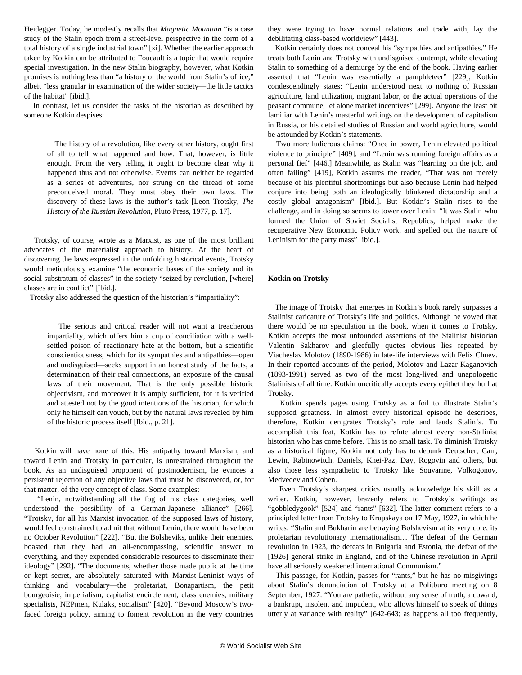Heidegger. Today, he modestly recalls that *Magnetic Mountain* "is a case study of the Stalin epoch from a street-level perspective in the form of a total history of a single industrial town" [xi]. Whether the earlier approach taken by Kotkin can be attributed to Foucault is a topic that would require special investigation. In the new Stalin biography, however, what Kotkin promises is nothing less than "a history of the world from Stalin's office," albeit "less granular in examination of the wider society—the little tactics of the habitat" [ibid.].

 In contrast, let us consider the tasks of the historian as described by someone Kotkin despises:

 The history of a revolution, like every other history, ought first of all to tell what happened and how. That, however, is little enough. From the very telling it ought to become clear why it happened thus and not otherwise. Events can neither be regarded as a series of adventures, nor strung on the thread of some preconceived moral. They must obey their own laws. The discovery of these laws is the author's task [Leon Trotsky, *The History of the Russian Revolution*, Pluto Press, 1977, p. 17].

 Trotsky, of course, wrote as a Marxist, as one of the most brilliant advocates of the materialist approach to history. At the heart of discovering the laws expressed in the unfolding historical events, Trotsky would meticulously examine "the economic bases of the society and its social substratum of classes" in the society "seized by revolution, [where] classes are in conflict" [Ibid.].

Trotsky also addressed the question of the historian's "impartiality":

 The serious and critical reader will not want a treacherous impartiality, which offers him a cup of conciliation with a wellsettled poison of reactionary hate at the bottom, but a scientific conscientiousness, which for its sympathies and antipathies—open and undisguised—seeks support in an honest study of the facts, a determination of their real connections, an exposure of the causal laws of their movement. That is the only possible historic objectivism, and moreover it is amply sufficient, for it is verified and attested not by the good intentions of the historian, for which only he himself can vouch, but by the natural laws revealed by him of the historic process itself [Ibid., p. 21].

 Kotkin will have none of this. His antipathy toward Marxism, and toward Lenin and Trotsky in particular, is unrestrained throughout the book. As an undisguised proponent of postmodernism, he evinces a persistent rejection of any objective laws that must be discovered, or, for that matter, of the very concept of class. Some examples:

 "Lenin, notwithstanding all the fog of his class categories, well understood the possibility of a German-Japanese alliance" [266]. "Trotsky, for all his Marxist invocation of the supposed laws of history, would feel constrained to admit that without Lenin, there would have been no October Revolution" [222]. "But the Bolsheviks, unlike their enemies, boasted that they had an all-encompassing, scientific answer to everything, and they expended considerable resources to disseminate their ideology" [292]. "The documents, whether those made public at the time or kept secret, are absolutely saturated with Marxist-Leninist ways of thinking and vocabulary—the proletariat, Bonapartism, the petit bourgeoisie, imperialism, capitalist encirclement, class enemies, military specialists, NEPmen, Kulaks, socialism" [420]. "Beyond Moscow's twofaced foreign policy, aiming to foment revolution in the very countries

they were trying to have normal relations and trade with, lay the debilitating class-based worldview" [443].

 Kotkin certainly does not conceal his "sympathies and antipathies." He treats both Lenin and Trotsky with undisguised contempt, while elevating Stalin to something of a demiurge by the end of the book. Having earlier asserted that "Lenin was essentially a pamphleteer" [229], Kotkin condescendingly states: "Lenin understood next to nothing of Russian agriculture, land utilization, migrant labor, or the actual operations of the peasant commune, let alone market incentives" [299]. Anyone the least bit familiar with Lenin's masterful writings on the development of capitalism in Russia, or his detailed studies of Russian and world agriculture, would be astounded by Kotkin's statements.

 Two more ludicrous claims: "Once in power, Lenin elevated political violence to principle" [409], and "Lenin was running foreign affairs as a personal fief" [446.] Meanwhile, as Stalin was "learning on the job, and often failing" [419], Kotkin assures the reader, "That was not merely because of his plentiful shortcomings but also because Lenin had helped conjure into being both an ideologically blinkered dictatorship and a costly global antagonism" [Ibid.]. But Kotkin's Stalin rises to the challenge, and in doing so seems to tower over Lenin: "It was Stalin who formed the Union of Soviet Socialist Republics, helped make the recuperative New Economic Policy work, and spelled out the nature of Leninism for the party mass" [ibid.].

#### **Kotkin on Trotsky**

 The image of Trotsky that emerges in Kotkin's book rarely surpasses a Stalinist caricature of Trotsky's life and politics. Although he vowed that there would be no speculation in the book, when it comes to Trotsky, Kotkin accepts the most unfounded assertions of the Stalinist historian Valentin Sakharov and gleefully quotes obvious lies repeated by Viacheslav Molotov (1890-1986) in late-life interviews with Felix Chuev. In their reported accounts of the period, Molotov and Lazar Kaganovich (1893-1991) served as two of the most long-lived and unapologetic Stalinists of all time. Kotkin uncritically accepts every epithet they hurl at Trotsky.

 Kotkin spends pages using Trotsky as a foil to illustrate Stalin's supposed greatness. In almost every historical episode he describes, therefore, Kotkin denigrates Trotsky's role and lauds Stalin's. To accomplish this feat, Kotkin has to refute almost every non-Stalinist historian who has come before. This is no small task. To diminish Trotsky as a historical figure, Kotkin not only has to debunk Deutscher, Carr, Lewin, Rabinowitch, Daniels, Knei-Paz, Day, Rogovin and others, but also those less sympathetic to Trotsky like Souvarine, Volkogonov, Medvedev and Cohen.

 Even Trotsky's sharpest critics usually acknowledge his skill as a writer. Kotkin, however, brazenly refers to Trotsky's writings as "gobbledygook" [524] and "rants" [632]. The latter comment refers to a principled letter from Trotsky to Krupskaya on 17 May, 1927, in which he writes: "Stalin and Bukharin are betraying Bolshevism at its very core, its proletarian revolutionary internationalism… The defeat of the German revolution in 1923, the defeats in Bulgaria and Estonia, the defeat of the [1926] general strike in England, and of the Chinese revolution in April have all seriously weakened international Communism."

 This passage, for Kotkin, passes for "rants," but he has no misgivings about Stalin's denunciation of Trotsky at a Politburo meeting on 8 September, 1927: "You are pathetic, without any sense of truth, a coward, a bankrupt, insolent and impudent, who allows himself to speak of things utterly at variance with reality" [642-643; as happens all too frequently,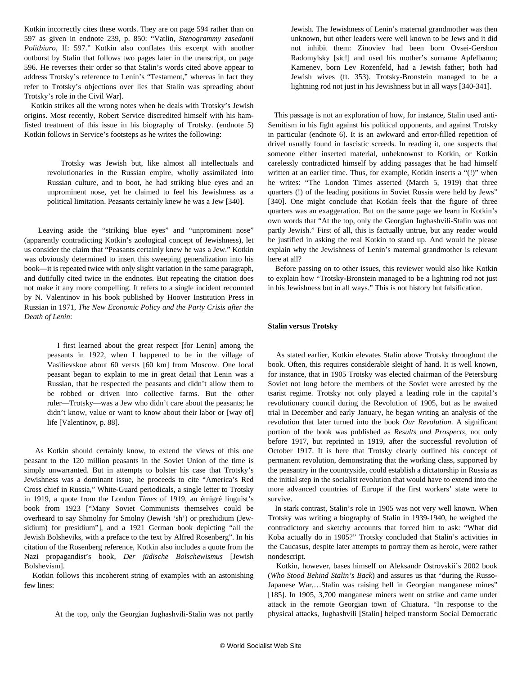Kotkin incorrectly cites these words. They are on page 594 rather than on 597 as given in endnote 239, p. 850: "Vatlin, *Stenogrammy zasedanii Politbiuro*, II: 597." Kotkin also conflates this excerpt with another outburst by Stalin that follows two pages later in the transcript, on page 596. He reverses their order so that Stalin's words cited above appear to address Trotsky's reference to Lenin's "Testament," whereas in fact they refer to Trotsky's objections over lies that Stalin was spreading about Trotsky's role in the Civil War].

 Kotkin strikes all the wrong notes when he deals with Trotsky's Jewish origins. Most recently, Robert Service discredited himself with his hamfisted treatment of this issue in his biography of Trotsky. (endnote 5) Kotkin follows in Service's footsteps as he writes the following:

 Trotsky was Jewish but, like almost all intellectuals and revolutionaries in the Russian empire, wholly assimilated into Russian culture, and to boot, he had striking blue eyes and an unprominent nose, yet he claimed to feel his Jewishness as a political limitation. Peasants certainly knew he was a Jew [340].

 Leaving aside the "striking blue eyes" and "unprominent nose" (apparently contradicting Kotkin's zoological concept of Jewishness), let us consider the claim that "Peasants certainly knew he was a Jew." Kotkin was obviously determined to insert this sweeping generalization into his book—it is repeated twice with only slight variation in the same paragraph, and dutifully cited twice in the endnotes. But repeating the citation does not make it any more compelling. It refers to a single incident recounted by N. Valentinov in his book published by Hoover Institution Press in Russian in 1971, *The New Economic Policy and the Party Crisis after the Death of Lenin*:

 I first learned about the great respect [for Lenin] among the peasants in 1922, when I happened to be in the village of Vasilievskoe about 60 versts [60 km] from Moscow. One local peasant began to explain to me in great detail that Lenin was a Russian, that he respected the peasants and didn't allow them to be robbed or driven into collective farms. But the other ruler—Trotsky—was a Jew who didn't care about the peasants; he didn't know, value or want to know about their labor or [way of] life [Valentinov, p. 88].

 As Kotkin should certainly know, to extend the views of this one peasant to the 120 million peasants in the Soviet Union of the time is simply unwarranted. But in attempts to bolster his case that Trotsky's Jewishness was a dominant issue, he proceeds to cite "America's Red Cross chief in Russia," White-Guard periodicals, a single letter to Trotsky in 1919, a quote from the London *Times* of 1919, an émigré linguist's book from 1923 ["Many Soviet Communists themselves could be overheard to say Shmolny for Smolny (Jewish 'sh') or prezhidium (Jewsidium) for presidium"], and a 1921 German book depicting "all the Jewish Bolsheviks, with a preface to the text by Alfred Rosenberg". In his citation of the Rosenberg reference, Kotkin also includes a quote from the Nazi propagandist's book, *Der jüdische Bolschewismus* [Jewish Bolshevism].

 Kotkin follows this incoherent string of examples with an astonishing few lines:

At the top, only the Georgian Jughashvili-Stalin was not partly

Jewish. The Jewishness of Lenin's maternal grandmother was then unknown, but other leaders were well known to be Jews and it did not inhibit them: Zinoviev had been born Ovsei-Gershon Radomylsky [sic!] and used his mother's surname Apfelbaum; Kamenev, born Lev Rozenfeld, had a Jewish father; both had Jewish wives (ft. 353). Trotsky-Bronstein managed to be a lightning rod not just in his Jewishness but in all ways [340-341].

 This passage is not an exploration of how, for instance, Stalin used anti-Semitism in his fight against his political opponents, and against Trotsky in particular (endnote 6). It is an awkward and error-filled repetition of drivel usually found in fascistic screeds. In reading it, one suspects that someone either inserted material, unbeknownst to Kotkin, or Kotkin carelessly contradicted himself by adding passages that he had himself written at an earlier time. Thus, for example, Kotkin inserts a "(!)" when he writes: "The London Times asserted (March 5, 1919) that three quarters (!) of the leading positions in Soviet Russia were held by Jews" [340]. One might conclude that Kotkin feels that the figure of three quarters was an exaggeration. But on the same page we learn in Kotkin's own words that "At the top, only the Georgian Jughashvili-Stalin was not partly Jewish." First of all, this is factually untrue, but any reader would be justified in asking the real Kotkin to stand up. And would he please explain why the Jewishness of Lenin's maternal grandmother is relevant here at all?

 Before passing on to other issues, this reviewer would also like Kotkin to explain how "Trotsky-Bronstein managed to be a lightning rod not just in his Jewishness but in all ways." This is not history but falsification.

#### **Stalin versus Trotsky**

 As stated earlier, Kotkin elevates Stalin above Trotsky throughout the book. Often, this requires considerable sleight of hand. It is well known, for instance, that in 1905 Trotsky was elected chairman of the Petersburg Soviet not long before the members of the Soviet were arrested by the tsarist regime. Trotsky not only played a leading role in the capital's revolutionary council during the Revolution of 1905, but as he awaited trial in December and early January, he began writing an analysis of the revolution that later turned into the book *Our Revolution.* A significant portion of the book was published as *Results and Prospects*, not only before 1917, but reprinted in 1919, after the successful revolution of October 1917. It is here that Trotsky clearly outlined his concept of permanent revolution, demonstrating that the working class, supported by the peasantry in the countryside, could establish a dictatorship in Russia as the initial step in the socialist revolution that would have to extend into the more advanced countries of Europe if the first workers' state were to survive.

 In stark contrast, Stalin's role in 1905 was not very well known. When Trotsky was writing a biography of Stalin in 1939-1940, he weighed the contradictory and sketchy accounts that forced him to ask: "What did Koba actually do in 1905?" Trotsky concluded that Stalin's activities in the Caucasus, despite later attempts to portray them as heroic, were rather nondescript.

 Kotkin, however, bases himself on Aleksandr Ostrovskii's 2002 book (*Who Stood Behind Stalin's Back*) and assures us that "during the Russo-Japanese War,…Stalin was raising hell in Georgian manganese mines" [185]. In 1905, 3,700 manganese miners went on strike and came under attack in the remote Georgian town of Chiatura. "In response to the physical attacks, Jughashvili [Stalin] helped transform Social Democratic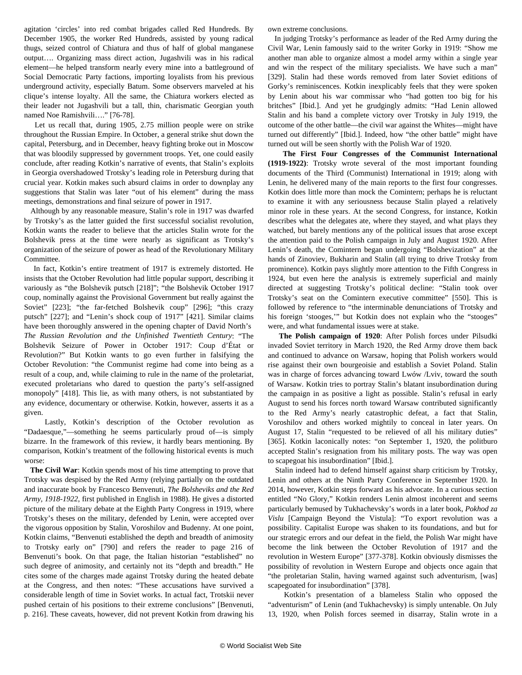agitation 'circles' into red combat brigades called Red Hundreds. By December 1905, the worker Red Hundreds, assisted by young radical thugs, seized control of Chiatura and thus of half of global manganese output…. Organizing mass direct action, Jugashvili was in his radical element—he helped transform nearly every mine into a battleground of Social Democratic Party factions, importing loyalists from his previous underground activity, especially Batum. Some observers marveled at his clique's intense loyalty. All the same, the Chiatura workers elected as their leader not Jugashvili but a tall, thin, charismatic Georgian youth named Noe Ramishvili…." [76-78].

 Let us recall that, during 1905, 2.75 million people were on strike throughout the Russian Empire. In October, a general strike shut down the capital, Petersburg, and in December, heavy fighting broke out in Moscow that was bloodily suppressed by government troops. Yet, one could easily conclude, after reading Kotkin's narrative of events, that Stalin's exploits in Georgia overshadowed Trotsky's leading role in Petersburg during that crucial year. Kotkin makes such absurd claims in order to downplay any suggestions that Stalin was later "out of his element" during the mass meetings, demonstrations and final seizure of power in 1917.

 Although by any reasonable measure, Stalin's role in 1917 was dwarfed by Trotsky's as the latter guided the first successful socialist revolution, Kotkin wants the reader to believe that the articles Stalin wrote for the Bolshevik press at the time were nearly as significant as Trotsky's organization of the seizure of power as head of the Revolutionary Military Committee.

 In fact, Kotkin's entire treatment of 1917 is extremely distorted. He insists that the October Revolution had little popular support, describing it variously as "the Bolshevik putsch [218]"; "the Bolshevik October 1917 coup, nominally against the Provisional Government but really against the Soviet" [223]; "the far-fetched Bolshevik coup" [296]; "this crazy putsch" [227]; and "Lenin's shock coup of 1917" [421]. Similar claims have been thoroughly answered in the opening chapter of David North's *[The Russian Revolution and the Unfinished Twentieth Century](http://mehring.com/the-russian-revolution-and-the-unfinished-twentieth-century.html)*: "The Bolshevik Seizure of Power in October 1917: Coup d'État or Revolution?" But Kotkin wants to go even further in falsifying the October Revolution: "the Communist regime had come into being as a result of a coup, and, while claiming to rule in the name of the proletariat, executed proletarians who dared to question the party's self-assigned monopoly" [418]. This lie, as with many others, is not substantiated by any evidence, documentary or otherwise. Kotkin, however, asserts it as a given.

 Lastly, Kotkin's description of the October revolution as "Dadaesque,"—something he seems particularly proud of—is simply bizarre. In the framework of this review, it hardly bears mentioning. By comparison, Kotkin's treatment of the following historical events is much worse:

 **The Civil War**: Kotkin spends most of his time attempting to prove that Trotsky was despised by the Red Army (relying partially on the outdated and inaccurate book by Francesco Benvenuti, *The Bolsheviks and the Red Army, 1918-1922*, first published in English in 1988). He gives a distorted picture of the military debate at the Eighth Party Congress in 1919, where Trotsky's theses on the military, defended by Lenin, were accepted over the vigorous opposition by Stalin, Voroshilov and Budenny. At one point, Kotkin claims, "Benvenuti established the depth and breadth of animosity to Trotsky early on" [790] and refers the reader to page 216 of Benvenuti's book. On that page, the Italian historian "established" no such degree of animosity, and certainly not its "depth and breadth." He cites some of the charges made against Trotsky during the heated debate at the Congress, and then notes: "These accusations have survived a considerable length of time in Soviet works. In actual fact, Trotskii never pushed certain of his positions to their extreme conclusions" [Benvenuti, p. 216]. These caveats, however, did not prevent Kotkin from drawing his own extreme conclusions.

 In judging Trotsky's performance as leader of the Red Army during the Civil War, Lenin famously said to the writer Gorky in 1919: "Show me another man able to organize almost a model army within a single year and win the respect of the military specialists. We have such a man" [329]. Stalin had these words removed from later Soviet editions of Gorky's reminiscences. Kotkin inexplicably feels that they were spoken by Lenin about his war commissar who "had gotten too big for his britches" [Ibid.]. And yet he grudgingly admits: "Had Lenin allowed Stalin and his band a complete victory over Trotsky in July 1919, the outcome of the other battle—the civil war against the Whites—might have turned out differently" [Ibid.]. Indeed, how "the other battle" might have turned out will be seen shortly with the Polish War of 1920.

 **The First Four Congresses of the Communist International (1919-1922)**: Trotsky wrote several of the most important founding documents of the Third (Communist) International in 1919; along with Lenin, he delivered many of the main reports to the first four congresses. Kotkin does little more than mock the Comintern; perhaps he is reluctant to examine it with any seriousness because Stalin played a relatively minor role in these years. At the second Congress, for instance, Kotkin describes what the delegates ate, where they stayed, and what plays they watched, but barely mentions any of the political issues that arose except the attention paid to the Polish campaign in July and August 1920. After Lenin's death, the Comintern began undergoing "Bolshevization" at the hands of Zinoviev, Bukharin and Stalin (all trying to drive Trotsky from prominence). Kotkin pays slightly more attention to the Fifth Congress in 1924, but even here the analysis is extremely superficial and mainly directed at suggesting Trotsky's political decline: "Stalin took over Trotsky's seat on the Comintern executive committee" [550]. This is followed by reference to "the interminable denunciations of Trotsky and his foreign 'stooges,'" but Kotkin does not explain who the "stooges" were, and what fundamental issues were at stake.

 **The Polish campaign of 1920**: After Polish forces under Pilsudki invaded Soviet territory in March 1920, the Red Army drove them back and continued to advance on Warsaw, hoping that Polish workers would rise against their own bourgeoisie and establish a Soviet Poland. Stalin was in charge of forces advancing toward Lwów /Lviv, toward the south of Warsaw. Kotkin tries to portray Stalin's blatant insubordination during the campaign in as positive a light as possible. Stalin's refusal in early August to send his forces north toward Warsaw contributed significantly to the Red Army's nearly catastrophic defeat, a fact that Stalin, Voroshilov and others worked mightily to conceal in later years. On August 17, Stalin "requested to be relieved of all his military duties" [365]. Kotkin laconically notes: "on September 1, 1920, the politburo accepted Stalin's resignation from his military posts. The way was open to scapegoat his insubordination" [Ibid.].

 Stalin indeed had to defend himself against sharp criticism by Trotsky, Lenin and others at the Ninth Party Conference in September 1920. In 2014, however, Kotkin steps forward as his advocate. In a curious section entitled "No Glory," Kotkin renders Lenin almost incoherent and seems particularly bemused by Tukhachevsky's words in a later book, *Pokhod za Vislu* [Campaign Beyond the Vistula]: "To export revolution was a possibility. Capitalist Europe was shaken to its foundations, and but for our strategic errors and our defeat in the field, the Polish War might have become the link between the October Revolution of 1917 and the revolution in Western Europe" [377-378]. Kotkin obviously dismisses the possibility of revolution in Western Europe and objects once again that "the proletarian Stalin, having warned against such adventurism, [was] scapegoated for insubordination" [378].

 Kotkin's presentation of a blameless Stalin who opposed the "adventurism" of Lenin (and Tukhachevsky) is simply untenable. On July 13, 1920, when Polish forces seemed in disarray, Stalin wrote in a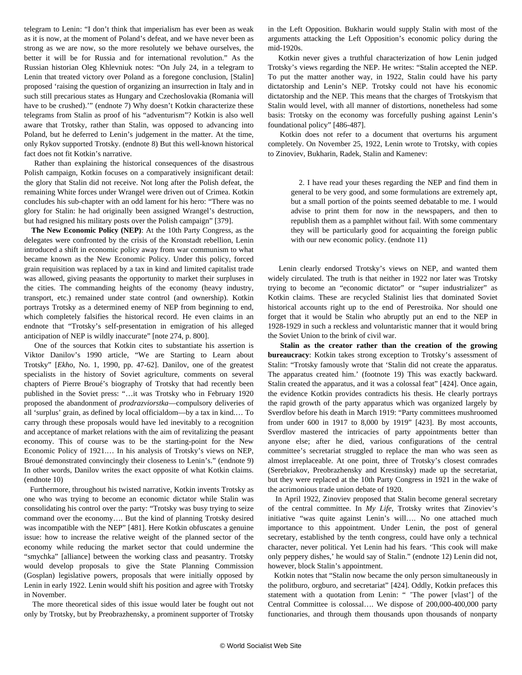telegram to Lenin: "I don't think that imperialism has ever been as weak as it is now, at the moment of Poland's defeat, and we have never been as strong as we are now, so the more resolutely we behave ourselves, the better it will be for Russia and for international revolution." As the Russian historian Oleg Khlevniuk notes: "On July 24, in a telegram to Lenin that treated victory over Poland as a foregone conclusion, [Stalin] proposed 'raising the question of organizing an insurrection in Italy and in such still precarious states as Hungary and Czechoslovakia (Romania will have to be crushed)."" (endnote 7) Why doesn't Kotkin characterize these telegrams from Stalin as proof of his "adventurism"? Kotkin is also well aware that Trotsky, rather than Stalin, was opposed to advancing into Poland, but he deferred to Lenin's judgement in the matter. At the time, only Rykov supported Trotsky. (endnote 8) But this well-known historical fact does not fit Kotkin's narrative.

 Rather than explaining the historical consequences of the disastrous Polish campaign, Kotkin focuses on a comparatively insignificant detail: the glory that Stalin did not receive. Not long after the Polish defeat, the remaining White forces under Wrangel were driven out of Crimea. Kotkin concludes his sub-chapter with an odd lament for his hero: "There was no glory for Stalin: he had originally been assigned Wrangel's destruction, but had resigned his military posts over the Polish campaign" [379].

 **The New Economic Policy (NEP)**: At the 10th Party Congress, as the delegates were confronted by the crisis of the Kronstadt rebellion, Lenin introduced a shift in economic policy away from war communism to what became known as the New Economic Policy. Under this policy, forced grain requisition was replaced by a tax in kind and limited capitalist trade was allowed, giving peasants the opportunity to market their surpluses in the cities. The commanding heights of the economy (heavy industry, transport, etc.) remained under state control (and ownership). Kotkin portrays Trotsky as a determined enemy of NEP from beginning to end, which completely falsifies the historical record. He even claims in an endnote that "Trotsky's self-presentation in emigration of his alleged anticipation of NEP is wildly inaccurate" [note 274, p. 800].

 One of the sources that Kotkin cites to substantiate his assertion is Viktor Danilov's 1990 article, "We are Starting to Learn about Trotsky" [*Ekho*, No. 1, 1990, pp. 47-62]. Danilov, one of the greatest specialists in the history of Soviet agriculture, comments on several chapters of Pierre Broué's biography of Trotsky that had recently been published in the Soviet press: "…it was Trotsky who in February 1920 proposed the abandonment of *prodrazviorstka*—compulsory deliveries of all 'surplus' grain, as defined by local officialdom—by a tax in kind.… To carry through these proposals would have led inevitably to a recognition and acceptance of market relations with the aim of revitalizing the peasant economy. This of course was to be the starting-point for the New Economic Policy of 1921.… In his analysis of Trotsky's views on NEP, Broué demonstrated convincingly their closeness to Lenin's." (endnote 9) In other words, Danilov writes the exact opposite of what Kotkin claims. (endnote 10)

 Furthermore, throughout his twisted narrative, Kotkin invents Trotsky as one who was trying to become an economic dictator while Stalin was consolidating his control over the party: "Trotsky was busy trying to seize command over the economy…. But the kind of planning Trotsky desired was incompatible with the NEP" [481]. Here Kotkin obfuscates a genuine issue: how to increase the relative weight of the planned sector of the economy while reducing the market sector that could undermine the "smychka" [alliance] between the working class and peasantry. Trotsky would develop proposals to give the State Planning Commission (Gosplan) legislative powers, proposals that were initially opposed by Lenin in early 1922. Lenin would shift his position and agree with Trotsky in November.

 The more theoretical sides of this issue would later be fought out not only by Trotsky, but by Preobrazhensky, a prominent supporter of Trotsky

in the Left Opposition. Bukharin would supply Stalin with most of the arguments attacking the Left Opposition's economic policy during the mid-1920s.

 Kotkin never gives a truthful characterization of how Lenin judged Trotsky's views regarding the NEP. He writes: "Stalin accepted the NEP. To put the matter another way, in 1922, Stalin could have his party dictatorship and Lenin's NEP. Trotsky could not have his economic dictatorship and the NEP. This means that the charges of Trotskyism that Stalin would level, with all manner of distortions, nonetheless had some basis: Trotsky on the economy was forcefully pushing against Lenin's foundational policy" [486-487].

 Kotkin does not refer to a document that overturns his argument completely. On November 25, 1922, Lenin wrote to Trotsky, with copies to Zinoviev, Bukharin, Radek, Stalin and Kamenev:

 2. I have read your theses regarding the NEP and find them in general to be very good, and some formulations are extremely apt, but a small portion of the points seemed debatable to me. I would advise to print them for now in the newspapers, and then to republish them as a pamphlet without fail. With some commentary they will be particularly good for acquainting the foreign public with our new economic policy. (endnote 11)

 Lenin clearly endorsed Trotsky's views on NEP, and wanted them widely circulated. The truth is that neither in 1922 nor later was Trotsky trying to become an "economic dictator" or "super industrializer" as Kotkin claims. These are recycled Stalinist lies that dominated Soviet historical accounts right up to the end of Perestroika. Nor should one forget that it would be Stalin who abruptly put an end to the NEP in 1928-1929 in such a reckless and voluntaristic manner that it would bring the Soviet Union to the brink of civil war.

 **Stalin as the creator rather than the creation of the growing bureaucracy**: Kotkin takes strong exception to Trotsky's assessment of Stalin: "Trotsky famously wrote that 'Stalin did not create the apparatus. The apparatus created him.' (footnote 19) This was exactly backward. Stalin created the apparatus, and it was a colossal feat" [424]. Once again, the evidence Kotkin provides contradicts his thesis. He clearly portrays the rapid growth of the party apparatus which was organized largely by Sverdlov before his death in March 1919: "Party committees mushroomed from under 600 in 1917 to 8,000 by 1919" [423]. By most accounts, Sverdlov mastered the intricacies of party appointments better than anyone else; after he died, various configurations of the central committee's secretariat struggled to replace the man who was seen as almost irreplaceable. At one point, three of Trotsky's closest comrades (Serebriakov, Preobrazhensky and Krestinsky) made up the secretariat, but they were replaced at the 10th Party Congress in 1921 in the wake of the acrimonious trade union debate of 1920.

 In April 1922, Zinoviev proposed that Stalin become general secretary of the central committee. In *My Life*, Trotsky writes that Zinoviev's initiative "was quite against Lenin's will…. No one attached much importance to this appointment. Under Lenin, the post of general secretary, established by the tenth congress, could have only a technical character, never political. Yet Lenin had his fears. 'This cook will make only peppery dishes,' he would say of Stalin." (endnote 12) Lenin did not, however, block Stalin's appointment.

 Kotkin notes that "Stalin now became the only person simultaneously in the politburo, orgburo, and secretariat" [424]. Oddly, Kotkin prefaces this statement with a quotation from Lenin: " 'The power [vlast'] of the Central Committee is colossal…. We dispose of 200,000-400,000 party functionaries, and through them thousands upon thousands of nonparty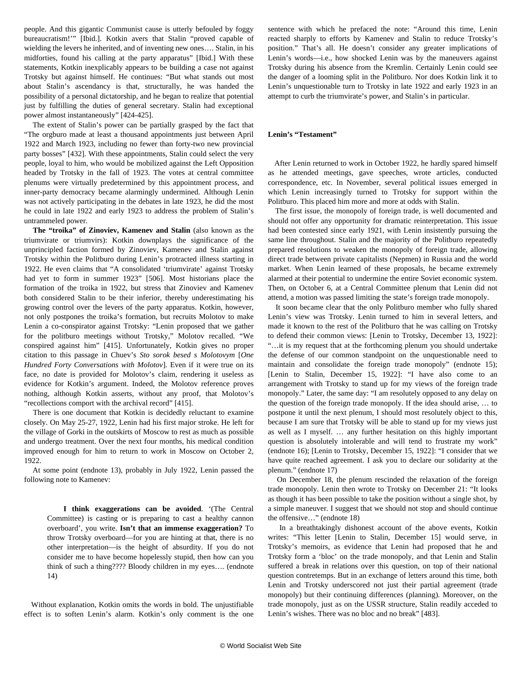people. And this gigantic Communist cause is utterly befouled by foggy bureaucratism!'" [Ibid.]. Kotkin avers that Stalin "proved capable of wielding the levers he inherited, and of inventing new ones…. Stalin, in his midforties, found his calling at the party apparatus" [Ibid.] With these statements, Kotkin inexplicably appears to be building a case not against Trotsky but against himself. He continues: "But what stands out most about Stalin's ascendancy is that, structurally, he was handed the possibility of a personal dictatorship, and he began to realize that potential just by fulfilling the duties of general secretary. Stalin had exceptional power almost instantaneously" [424-425].

 The extent of Stalin's power can be partially grasped by the fact that "The orgburo made at least a thousand appointments just between April 1922 and March 1923, including no fewer than forty-two new provincial party bosses" [432]. With these appointments, Stalin could select the very people, loyal to him, who would be mobilized against the Left Opposition headed by Trotsky in the fall of 1923. The votes at central committee plenums were virtually predetermined by this appointment process, and inner-party democracy became alarmingly undermined. Although Lenin was not actively participating in the debates in late 1923, he did the most he could in late 1922 and early 1923 to address the problem of Stalin's untrammeled power.

 **The "troika" of Zinoviev, Kamenev and Stalin** (also known as the triumvirate or triumvirs): Kotkin downplays the significance of the unprincipled faction formed by Zinoviev, Kamenev and Stalin against Trotsky within the Politburo during Lenin's protracted illness starting in 1922. He even claims that "A consolidated 'triumvirate' against Trotsky had yet to form in summer 1923" [506]. Most historians place the formation of the troika in 1922, but stress that Zinoviev and Kamenev both considered Stalin to be their inferior, thereby underestimating his growing control over the levers of the party apparatus. Kotkin, however, not only postpones the troika's formation, but recruits Molotov to make Lenin a co-conspirator against Trotsky: "Lenin proposed that we gather for the politburo meetings without Trotsky," Molotov recalled. "We conspired against him" [415]. Unfortunately, Kotkin gives no proper citation to this passage in Chuev's *Sto sorok besed s Molotovym* [*One Hundred Forty Conversations with Molotov*]. Even if it were true on its face, no date is provided for Molotov's claim, rendering it useless as evidence for Kotkin's argument. Indeed, the Molotov reference proves nothing, although Kotkin asserts, without any proof, that Molotov's "recollections comport with the archival record" [415].

 There is one document that Kotkin is decidedly reluctant to examine closely. On May 25-27, 1922, Lenin had his first major stroke. He left for the village of Gorki in the outskirts of Moscow to rest as much as possible and undergo treatment. Over the next four months, his medical condition improved enough for him to return to work in Moscow on October 2, 1922.

 At some point (endnote 13), probably in July 1922, Lenin passed the following note to Kamenev:

 **I think exaggerations can be avoided**. '(The Central Committee) is casting or is preparing to cast a healthy cannon overboard', you write. **Isn't that an immense exaggeration?** To throw Trotsky overboard—for you are hinting at that, there is no other interpretation—is the height of absurdity. If you do not consider me to have become hopelessly stupid, then how can you think of such a thing???? Bloody children in my eyes…. (endnote 14)

 Without explanation, Kotkin omits the words in bold. The unjustifiable effect is to soften Lenin's alarm. Kotkin's only comment is the one sentence with which he prefaced the note: "Around this time, Lenin reacted sharply to efforts by Kamenev and Stalin to reduce Trotsky's position." That's all. He doesn't consider any greater implications of Lenin's words—i.e., how shocked Lenin was by the maneuvers against Trotsky during his absence from the Kremlin. Certainly Lenin could see the danger of a looming split in the Politburo. Nor does Kotkin link it to Lenin's unquestionable turn to Trotsky in late 1922 and early 1923 in an attempt to curb the triumvirate's power, and Stalin's in particular.

#### **Lenin's "Testament"**

 After Lenin returned to work in October 1922, he hardly spared himself as he attended meetings, gave speeches, wrote articles, conducted correspondence, etc. In November, several political issues emerged in which Lenin increasingly turned to Trotsky for support within the Politburo. This placed him more and more at odds with Stalin.

 The first issue, the monopoly of foreign trade, is well documented and should not offer any opportunity for dramatic reinterpretation. This issue had been contested since early 1921, with Lenin insistently pursuing the same line throughout. Stalin and the majority of the Politburo repeatedly prepared resolutions to weaken the monopoly of foreign trade, allowing direct trade between private capitalists (Nepmen) in Russia and the world market. When Lenin learned of these proposals, he became extremely alarmed at their potential to undermine the entire Soviet economic system. Then, on October 6, at a Central Committee plenum that Lenin did not attend, a motion was passed limiting the state's foreign trade monopoly.

 It soon became clear that the only Politburo member who fully shared Lenin's view was Trotsky. Lenin turned to him in several letters, and made it known to the rest of the Politburo that he was calling on Trotsky to defend their common views: [Lenin to Trotsky, December 13, 1922]: "…it is my request that at the forthcoming plenum you should undertake the defense of our common standpoint on the unquestionable need to maintain and consolidate the foreign trade monopoly" (endnote 15); [Lenin to Stalin, December 15, 1922]: "I have also come to an arrangement with Trotsky to stand up for my views of the foreign trade monopoly." Later, the same day: "I am resolutely opposed to any delay on the question of the foreign trade monopoly. If the idea should arise, … to postpone it until the next plenum, I should most resolutely object to this, because I am sure that Trotsky will be able to stand up for my views just as well as I myself. … any further hesitation on this highly important question is absolutely intolerable and will tend to frustrate my work" (endnote 16); [Lenin to Trotsky, December 15, 1922]: "I consider that we have quite reached agreement. I ask you to declare our solidarity at the plenum." (endnote 17)

 On December 18, the plenum rescinded the relaxation of the foreign trade monopoly. Lenin then wrote to Trotsky on December 21: "It looks as though it has been possible to take the position without a single shot, by a simple maneuver. I suggest that we should not stop and should continue the offensive…" (endnote 18)

 In a breathtakingly dishonest account of the above events, Kotkin writes: "This letter [Lenin to Stalin, December 15] would serve, in Trotsky's memoirs, as evidence that Lenin had proposed that he and Trotsky form a 'bloc' on the trade monopoly, and that Lenin and Stalin suffered a break in relations over this question, on top of their national question contretemps. But in an exchange of letters around this time, both Lenin and Trotsky underscored not just their partial agreement (trade monopoly) but their continuing differences (planning). Moreover, on the trade monopoly, just as on the USSR structure, Stalin readily acceded to Lenin's wishes. There was no bloc and no break" [483].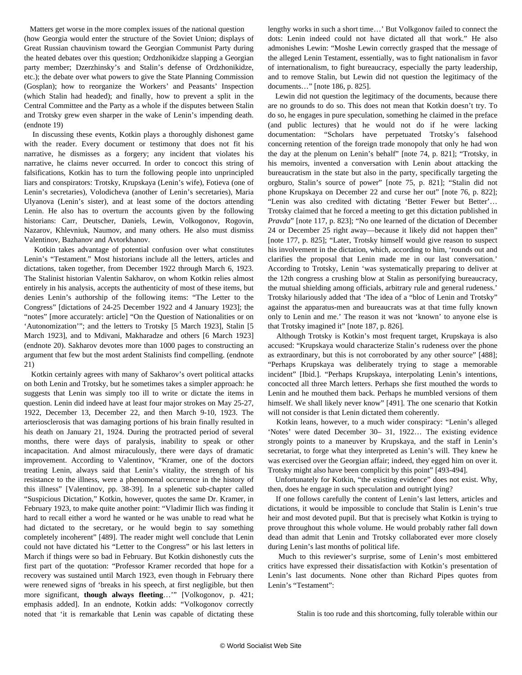Matters get worse in the more complex issues of the national question (how Georgia would enter the structure of the Soviet Union; displays of Great Russian chauvinism toward the Georgian Communist Party during the heated debates over this question; Ordzhonikidze slapping a Georgian party member; Dzerzhinsky's and Stalin's defense of Ordzhonikidze, etc.); the debate over what powers to give the State Planning Commission (Gosplan); how to reorganize the Workers' and Peasants' Inspection (which Stalin had headed); and finally, how to prevent a split in the Central Committee and the Party as a whole if the disputes between Stalin and Trotsky grew even sharper in the wake of Lenin's impending death. (endnote 19)

 In discussing these events, Kotkin plays a thoroughly dishonest game with the reader. Every document or testimony that does not fit his narrative, he dismisses as a forgery; any incident that violates his narrative, he claims never occurred. In order to concoct this string of falsifications, Kotkin has to turn the following people into unprincipled liars and conspirators: Trotsky, Krupskaya (Lenin's wife), Fotieva (one of Lenin's secretaries), Volodicheva (another of Lenin's secretaries), Maria Ulyanova (Lenin's sister), and at least some of the doctors attending Lenin. He also has to overturn the accounts given by the following historians: Carr, Deutscher, Daniels, Lewin, Volkogonov, Rogovin, Nazarov, Khlevniuk, Naumov, and many others. He also must dismiss Valentinov, Bazhanov and Avtorkhanov.

 Kotkin takes advantage of potential confusion over what constitutes Lenin's "Testament." Most historians include all the letters, articles and dictations, taken together, from December 1922 through March 6, 1923. The Stalinist historian Valentin Sakharov, on whom Kotkin relies almost entirely in his analysis, accepts the authenticity of most of these items, but denies Lenin's authorship of the following items: "The Letter to the Congress" [dictations of 24-25 December 1922 and 4 January 1923]; the "notes" [more accurately: article] "On the Question of Nationalities or on 'Autonomization'"; and the letters to Trotsky [5 March 1923], Stalin [5 March 1923], and to Mdivani, Makharadze and others [6 March 1923] (endnote 20). Sakharov devotes more than 1000 pages to constructing an argument that few but the most ardent Stalinists find compelling. (endnote 21)

 Kotkin certainly agrees with many of Sakharov's overt political attacks on both Lenin and Trotsky, but he sometimes takes a simpler approach: he suggests that Lenin was simply too ill to write or dictate the items in question. Lenin did indeed have at least four major strokes on May 25-27, 1922, December 13, December 22, and then March 9-10, 1923. The arteriosclerosis that was damaging portions of his brain finally resulted in his death on January 21, 1924. During the protracted period of several months, there were days of paralysis, inability to speak or other incapacitation. And almost miraculously, there were days of dramatic improvement. According to Valentinov, "Kramer, one of the doctors treating Lenin, always said that Lenin's vitality, the strength of his resistance to the illness, were a phenomenal occurrence in the history of this illness" [Valentinov, pp. 38-39]. In a splenetic sub-chapter called "Suspicious Dictation," Kotkin, however, quotes the same Dr. Kramer, in February 1923, to make quite another point: "Vladimir Ilich was finding it hard to recall either a word he wanted or he was unable to read what he had dictated to the secretary, or he would begin to say something completely incoherent" [489]. The reader might well conclude that Lenin could not have dictated his "Letter to the Congress" or his last letters in March if things were so bad in February. But Kotkin dishonestly cuts the first part of the quotation: "Professor Kramer recorded that hope for a recovery was sustained until March 1923, even though in February there were renewed signs of 'breaks in his speech, at first negligible, but then more significant, **though always fleeting**…'" [Volkogonov, p. 421; emphasis added]. In an endnote, Kotkin adds: "Volkogonov correctly noted that 'it is remarkable that Lenin was capable of dictating these lengthy works in such a short time…' But Volkgonov failed to connect the dots: Lenin indeed could not have dictated all that work." He also admonishes Lewin: "Moshe Lewin correctly grasped that the message of the alleged Lenin Testament, essentially, was to fight nationalism in favor of internationalism, to fight bureaucracy, especially the party leadership, and to remove Stalin, but Lewin did not question the legitimacy of the documents…" [note 186, p. 825].

 Lewin did not question the legitimacy of the documents, because there are no grounds to do so. This does not mean that Kotkin doesn't try. To do so, he engages in pure speculation, something he claimed in the preface (and public lectures) that he would not do if he were lacking documentation: "Scholars have perpetuated Trotsky's falsehood concerning retention of the foreign trade monopoly that only he had won the day at the plenum on Lenin's behalf" [note 74, p. 821]; "Trotsky, in his memoirs, invented a conversation with Lenin about attacking the bureaucratism in the state but also in the party, specifically targeting the orgburo, Stalin's source of power" [note 75, p. 821]; "Stalin did not phone Krupskaya on December 22 and curse her out" [note 76, p. 822]; "Lenin was also credited with dictating 'Better Fewer but Better'… Trotsky claimed that he forced a meeting to get this dictation published in *Pravda*" [note 117, p. 823]; "No one learned of the dictation of December 24 or December 25 right away—because it likely did not happen then" [note 177, p. 825]; "Later, Trotsky himself would give reason to suspect his involvement in the dictation, which, according to him, 'rounds out and clarifies the proposal that Lenin made me in our last conversation.' According to Trotsky, Lenin 'was systematically preparing to deliver at the 12th congress a crushing blow at Stalin as personifying bureaucracy, the mutual shielding among officials, arbitrary rule and general rudeness.' Trotsky hilariously added that 'The idea of a "bloc of Lenin and Trotsky" against the apparatus-men and bureaucrats was at that time fully known only to Lenin and me.' The reason it was not 'known' to anyone else is that Trotsky imagined it" [note 187, p. 826].

 Although Trotsky is Kotkin's most frequent target, Krupskaya is also accused: "Krupskaya would characterize Stalin's rudeness over the phone as extraordinary, but this is not corroborated by any other source" [488]; "Perhaps Krupskaya was deliberately trying to stage a memorable incident" [Ibid.]. "Perhaps Krupskaya, interpolating Lenin's intentions, concocted all three March letters. Perhaps she first mouthed the words to Lenin and he mouthed them back. Perhaps he mumbled versions of them himself. We shall likely never know" [491]. The one scenario that Kotkin will not consider is that Lenin dictated them coherently.

 Kotkin leans, however, to a much wider conspiracy: "Lenin's alleged 'Notes' were dated December 30– 31, 1922… The existing evidence strongly points to a maneuver by Krupskaya, and the staff in Lenin's secretariat, to forge what they interpreted as Lenin's will. They knew he was exercised over the Georgian affair; indeed, they egged him on over it. Trotsky might also have been complicit by this point" [493-494].

 Unfortunately for Kotkin, "the existing evidence" does not exist. Why, then, does he engage in such speculation and outright lying?

 If one follows carefully the content of Lenin's last letters, articles and dictations, it would be impossible to conclude that Stalin is Lenin's true heir and most devoted pupil. But that is precisely what Kotkin is trying to prove throughout this whole volume. He would probably rather fall down dead than admit that Lenin and Trotsky collaborated ever more closely during Lenin's last months of political life.

 Much to this reviewer's surprise, some of Lenin's most embittered critics have expressed their dissatisfaction with Kotkin's presentation of Lenin's last documents. None other than Richard Pipes quotes from Lenin's "Testament":

Stalin is too rude and this shortcoming, fully tolerable within our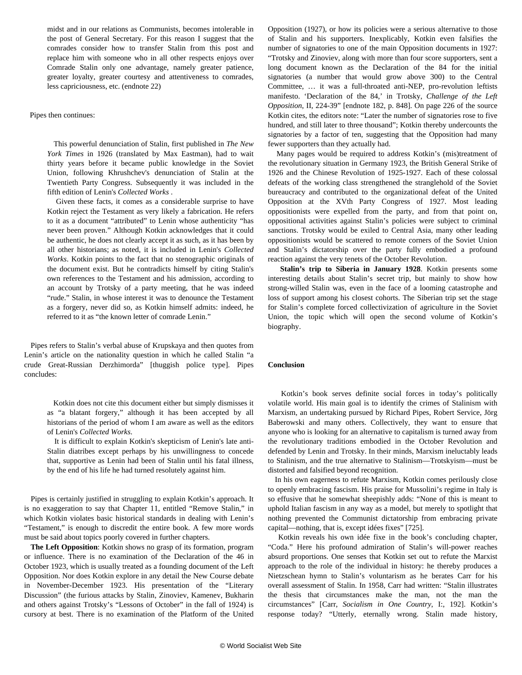midst and in our relations as Communists, becomes intolerable in the post of General Secretary. For this reason I suggest that the comrades consider how to transfer Stalin from this post and replace him with someone who in all other respects enjoys over Comrade Stalin only one advantage, namely greater patience, greater loyalty, greater courtesy and attentiveness to comrades, less capriciousness, etc. (endnote 22)

#### Pipes then continues:

 This powerful denunciation of Stalin, first published in *The New York Times* in 1926 (translated by Max Eastman), had to wait thirty years before it became public knowledge in the Soviet Union, following Khrushchev's denunciation of Stalin at the Twentieth Party Congress. Subsequently it was included in the fifth edition of Lenin's *Collected Works* .

 Given these facts, it comes as a considerable surprise to have Kotkin reject the Testament as very likely a fabrication. He refers to it as a document "attributed" to Lenin whose authenticity "has never been proven." Although Kotkin acknowledges that it could be authentic, he does not clearly accept it as such, as it has been by all other historians; as noted, it is included in Lenin's *Collected Works*. Kotkin points to the fact that no stenographic originals of the document exist. But he contradicts himself by citing Stalin's own references to the Testament and his admission, according to an account by Trotsky of a party meeting, that he was indeed "rude." Stalin, in whose interest it was to denounce the Testament as a forgery, never did so, as Kotkin himself admits: indeed, he referred to it as "the known letter of comrade Lenin."

 Pipes refers to Stalin's verbal abuse of Krupskaya and then quotes from Lenin's article on the nationality question in which he called Stalin "a crude Great-Russian Derzhimorda" [thuggish police type]. Pipes concludes:

> Kotkin does not cite this document either but simply dismisses it as "a blatant forgery," although it has been accepted by all historians of the period of whom I am aware as well as the editors of Lenin's *Collected Works*.

> It is difficult to explain Kotkin's skepticism of Lenin's late anti-Stalin diatribes except perhaps by his unwillingness to concede that, supportive as Lenin had been of Stalin until his fatal illness, by the end of his life he had turned resolutely against him.

 Pipes is certainly justified in struggling to explain Kotkin's approach. It is no exaggeration to say that Chapter 11, entitled "Remove Stalin," in which Kotkin violates basic historical standards in dealing with Lenin's "Testament," is enough to discredit the entire book. A few more words must be said about topics poorly covered in further chapters.

 **The Left Opposition**: Kotkin shows no grasp of its formation, program or influence. There is no examination of the Declaration of the 46 in October 1923, which is usually treated as a founding document of the Left Opposition. Nor does Kotkin explore in any detail the New Course debate in November-December 1923. His presentation of the "Literary Discussion" (the furious attacks by Stalin, Zinoviev, Kamenev, Bukharin and others against Trotsky's "Lessons of October" in the fall of 1924) is cursory at best. There is no examination of the Platform of the United Opposition (1927), or how its policies were a serious alternative to those of Stalin and his supporters. Inexplicably, Kotkin even falsifies the number of signatories to one of the main Opposition documents in 1927: "Trotsky and Zinoviev, along with more than four score supporters, sent a long document known as the Declaration of the 84 for the initial signatories (a number that would grow above 300) to the Central Committee, … it was a full-throated anti-NEP, pro-revolution leftists manifesto. 'Declaration of the 84,' in Trotsky, *Challenge of the Left Opposition*, II, 224-39" [endnote 182, p. 848]. On page 226 of the source Kotkin cites, the editors note: "Later the number of signatories rose to five hundred, and still later to three thousand"; Kotkin thereby undercounts the signatories by a factor of ten, suggesting that the Opposition had many fewer supporters than they actually had.

 Many pages would be required to address Kotkin's (mis)treatment of the revolutionary situation in Germany 1923, the British General Strike of 1926 and the Chinese Revolution of 1925-1927. Each of these colossal defeats of the working class strengthened the stranglehold of the Soviet bureaucracy and contributed to the organizational defeat of the United Opposition at the XVth Party Congress of 1927. Most leading oppositionists were expelled from the party, and from that point on, oppositional activities against Stalin's policies were subject to criminal sanctions. Trotsky would be exiled to Central Asia, many other leading oppositionists would be scattered to remote corners of the Soviet Union and Stalin's dictatorship over the party fully embodied a profound reaction against the very tenets of the October Revolution.

 **Stalin's trip to Siberia in January 1928**. Kotkin presents some interesting details about Stalin's secret trip, but mainly to show how strong-willed Stalin was, even in the face of a looming catastrophe and loss of support among his closest cohorts. The Siberian trip set the stage for Stalin's complete forced collectivization of agriculture in the Soviet Union, the topic which will open the second volume of Kotkin's biography.

#### **Conclusion**

 Kotkin's book serves definite social forces in today's politically volatile world. His main goal is to identify the crimes of Stalinism with Marxism, an undertaking pursued by Richard Pipes, Robert Service, Jörg Baberowski and many others. Collectively, they want to ensure that anyone who is looking for an alternative to capitalism is turned away from the revolutionary traditions embodied in the October Revolution and defended by Lenin and Trotsky. In their minds, Marxism ineluctably leads to Stalinism, and the true alternative to Stalinism—Trotskyism—must be distorted and falsified beyond recognition.

 In his own eagerness to refute Marxism, Kotkin comes perilously close to openly embracing fascism. His praise for Mussolini's regime in Italy is so effusive that he somewhat sheepishly adds: "None of this is meant to uphold Italian fascism in any way as a model, but merely to spotlight that nothing prevented the Communist dictatorship from embracing private capital—nothing, that is, except idées fixes" [725].

 Kotkin reveals his own idée fixe in the book's concluding chapter, "Coda." Here his profound admiration of Stalin's will-power reaches absurd proportions. One senses that Kotkin set out to refute the Marxist approach to the role of the individual in history: he thereby produces a Nietzschean hymn to Stalin's voluntarism as he berates Carr for his overall assessment of Stalin. In 1958, Carr had written: "Stalin illustrates the thesis that circumstances make the man, not the man the circumstances" [Carr, *Socialism in One Country*, I:, 192]. Kotkin's response today? "Utterly, eternally wrong. Stalin made history,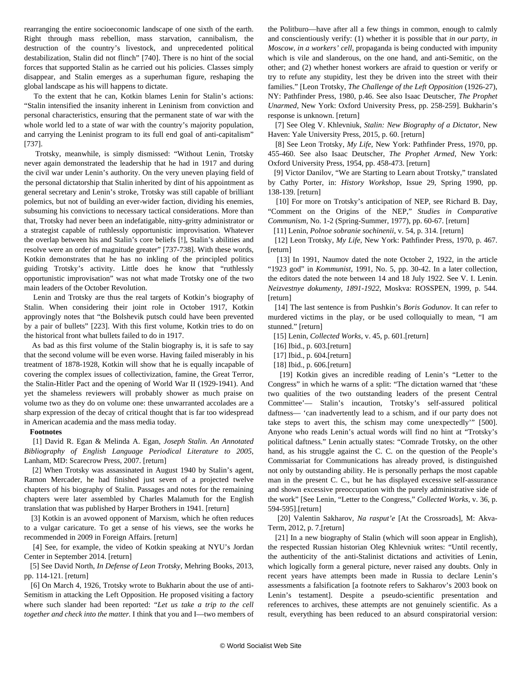rearranging the entire socioeconomic landscape of one sixth of the earth. Right through mass rebellion, mass starvation, cannibalism, the destruction of the country's livestock, and unprecedented political destabilization, Stalin did not flinch" [740]. There is no hint of the social forces that supported Stalin as he carried out his policies. Classes simply disappear, and Stalin emerges as a superhuman figure, reshaping the global landscape as his will happens to dictate.

 To the extent that he can, Kotkin blames Lenin for Stalin's actions: "Stalin intensified the insanity inherent in Leninism from conviction and personal characteristics, ensuring that the permanent state of war with the whole world led to a state of war with the country's majority population, and carrying the Leninist program to its full end goal of anti-capitalism" [737].

 Trotsky, meanwhile, is simply dismissed: "Without Lenin, Trotsky never again demonstrated the leadership that he had in 1917 and during the civil war under Lenin's authority. On the very uneven playing field of the personal dictatorship that Stalin inherited by dint of his appointment as general secretary and Lenin's stroke, Trotsky was still capable of brilliant polemics, but not of building an ever-wider faction, dividing his enemies, subsuming his convictions to necessary tactical considerations. More than that, Trotsky had never been an indefatigable, nitty-gritty administrator or a strategist capable of ruthlessly opportunistic improvisation. Whatever the overlap between his and Stalin's core beliefs [!], Stalin's abilities and resolve were an order of magnitude greater" [737-738]. With these words, Kotkin demonstrates that he has no inkling of the principled politics guiding Trotsky's activity. Little does he know that "ruthlessly opportunistic improvisation" was not what made Trotsky one of the two main leaders of the October Revolution.

 Lenin and Trotsky are thus the real targets of Kotkin's biography of Stalin. When considering their joint role in October 1917, Kotkin approvingly notes that "the Bolshevik putsch could have been prevented by a pair of bullets" [223]. With this first volume, Kotkin tries to do on the historical front what bullets failed to do in 1917.

 As bad as this first volume of the Stalin biography is, it is safe to say that the second volume will be even worse. Having failed miserably in his treatment of 1878-1928, Kotkin will show that he is equally incapable of covering the complex issues of collectivization, famine, the Great Terror, the Stalin-Hitler Pact and the opening of World War II (1929-1941). And yet the shameless reviewers will probably shower as much praise on volume two as they do on volume one: these unwarranted accolades are a sharp expression of the decay of critical thought that is far too widespread in American academia and the mass media today.

#### **Footnotes**

 [1] David R. Egan & Melinda A. Egan, *Joseph Stalin. An Annotated Bibliography of English Language Periodical Literature to 2005*, Lanham, MD: Scarecrow Press, 2007. [return]

 [2] When Trotsky was assassinated in August 1940 by Stalin's agent, Ramon Mercader, he had finished just seven of a projected twelve chapters of his biography of Stalin. Passages and notes for the remaining chapters were later assembled by Charles Malamuth for the English translation that was published by Harper Brothers in 1941. [return]

 [3] Kotkin is an avowed opponent of Marxism, which he often reduces to a vulgar caricature. To get a sense of his views, see the works he recommended in 2009 in [Foreign Affairs](http://www.foreignaffairs.com/features/readinglists/what-to-read-on-communism). [return]

 [4] See, for example, the video of Kotkin speaking at [NYU's Jordan](https://www.youtube.com/watch?v=wwpaPYkSEqs) [Center](https://www.youtube.com/watch?v=wwpaPYkSEqs) in September 2014. [return]

 [5] See David North, *In Defense of Leon Trotsky*, Mehring Books, 2013, pp. 114-121. [return]

 [6] On March 4, 1926, Trotsky wrote to Bukharin about the use of anti-Semitism in attacking the Left Opposition. He proposed visiting a factory where such slander had been reported: "*Let us take a trip to the cell together and check into the matter.* I think that you and I—two members of the Politburo—have after all a few things in common, enough to calmly and conscientiously verify: (1) whether it is possible that *in our party, in Moscow, in a workers' cell,* propaganda is being conducted with impunity which is vile and slanderous, on the one hand, and anti-Semitic, on the other; and (2) whether honest workers are afraid to question or verify or try to refute any stupidity, lest they be driven into the street with their families." [Leon Trotsky, *The Challenge of the Left Opposition* (1926-27), NY: Pathfinder Press, 1980, p.46. See also Isaac Deutscher, *The Prophet Unarmed*, New York: Oxford University Press, pp. 258-259]. Bukharin's response is unknown. [return]

 [7] See Oleg V. Khlevniuk, *Stalin: New Biography of a Dictator,* New Haven: Yale University Press, 2015, p. 60. [return]

 [8] See Leon Trotsky, *My Life*, New York: Pathfinder Press, 1970, pp. 455-460. See also Isaac Deutscher, *The Prophet Armed*, New York: Oxford University Press, 1954, pp. 458-473. [return]

 [9] Victor Danilov, "We are Starting to Learn about Trotsky," translated by Cathy Porter, in: *History Workshop*, Issue 29, Spring 1990, pp. 138-139. [return]

 [10] For more on Trotsky's anticipation of NEP, see Richard B. Day, "Comment on the Origins of the NEP," *Studies in Comparative Communism*, No. 1-2 (Spring-Summer, 1977), pp. 60-67. [return]

[11] Lenin, *Polnoe sobranie sochinenii*, v. 54, p. 314. [return]

 [12] Leon Trotsky, *My Life*, New York: Pathfinder Press, 1970, p. 467. [return]

[13] In 1991, Naumov dated the note October 2, 1922, in the article "1923 god" in *Kommunist*, 1991, No. 5, pp. 30-42. In a later collection, the editors dated the note between 14 and 18 July 1922. See V. I. Lenin. *Neizvestnye dokumenty, 1891-1922*, Moskva: ROSSPEN, 1999, p. 544. [return]

 [14] The last sentence is from Pushkin's *Boris Godunov*. It can refer to murdered victims in the play, or be used colloquially to mean, "I am stunned." [return]

[15] Lenin, *Collected Works*, v. 45, p. 601.[return]

[16] Ibid., p. 603.[return]

[17] Ibid., p. 604.[return]

[18] Ibid., p. 606.[return]

 [19] Kotkin gives an incredible reading of Lenin's "Letter to the Congress" in which he warns of a split: "The dictation warned that 'these two qualities of the two outstanding leaders of the present Central Committee'— Stalin's incaution, Trotsky's self-assured political daftness— 'can inadvertently lead to a schism, and if our party does not take steps to avert this, the schism may come unexpectedly'" [500]. Anyone who reads Lenin's actual words will find no hint at "Trotsky's political daftness." Lenin actually states: "Comrade Trotsky, on the other hand, as his struggle against the C. C. on the question of the People's Commissariat for Communications has already proved, is distinguished not only by outstanding ability. He is personally perhaps the most capable man in the present C. C., but he has displayed excessive self-assurance and shown excessive preoccupation with the purely administrative side of the work" [See Lenin, "Letter to the Congress," *Collected Works*, v. 36, p. 594-595].[return]

 [20] Valentin Sakharov, *Na rasput'e* [At the Crossroads], M: Akva-Term, 2012, p. 7.[return]

 [21] In a new biography of Stalin (which will soon appear in English), the respected Russian historian Oleg Khlevniuk writes: "Until recently, the authenticity of the anti-Stalinist dictations and activities of Lenin, which logically form a general picture, never raised any doubts. Only in recent years have attempts been made in Russia to declare Lenin's assessments a falsification [a footnote refers to Sakharov's 2003 book on Lenin's testament]. Despite a pseudo-scientific presentation and references to archives, these attempts are not genuinely scientific. As a result, everything has been reduced to an absurd conspiratorial version: